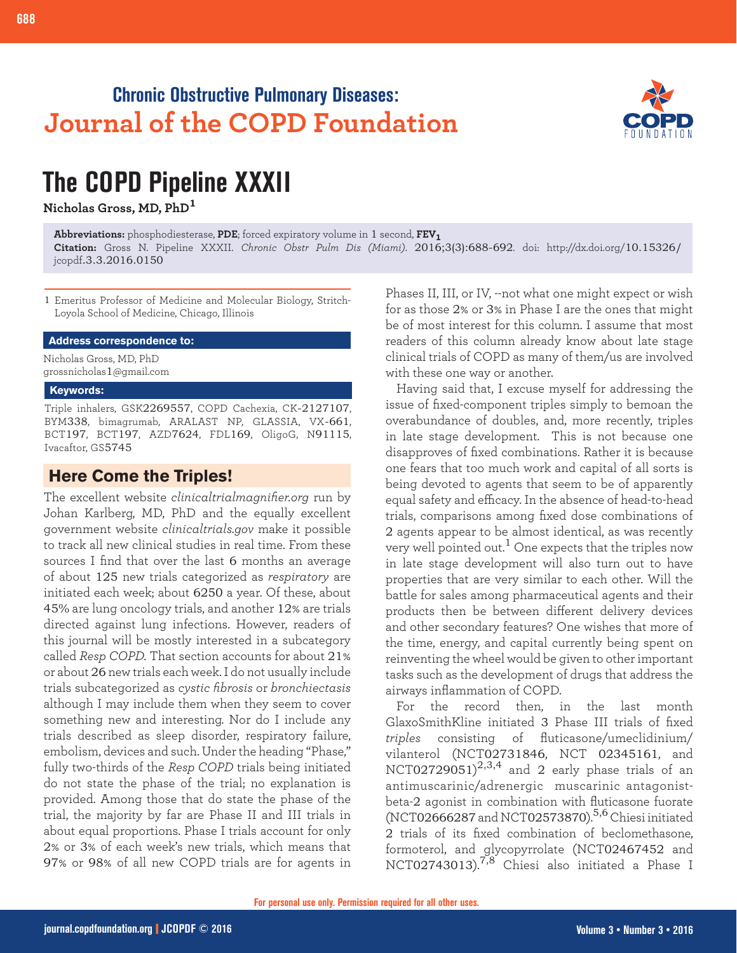# **Chronic Obstructive Pulmonary Diseases: Journal of the COPD Foundation**



# **The COPD Pipeline XXXII**

**Nicholas Gross, MD, PhD<sup>1</sup>**

**Abbreviations:** phosphodiesterase, **PDE**; forced expiratory volume in 1 second, **FEV1 Citation:** Gross N. Pipeline XXXII. *Chronic Obstr Pulm Dis (Miami)*. 2016;3(3):688-692. doi: http://dx.doi.org/10.15326/ jcopdf.3.3.2016.0150

1 Emeritus Professor of Medicine and Molecular Biology, Stritch-Loyola School of Medicine, Chicago, Illinois

#### **Address correspondence to:**

Nicholas Gross, MD, PhD grossnicholas1@gmail.com

#### **Keywords:**

Triple inhalers, GSK2269557, COPD Cachexia, CK-2127107, BYM338, bimagrumab, ARALAST NP, GLASSIA, VX-661, BCT197, BCT197, AZD7624, FDL169, OligoG, N91115, Ivacaftor, GS5745

### **Here Come the Triples!**

The excellent website *clinicaltrialmagnifier.org* run by Johan Karlberg, MD, PhD and the equally excellent government website *clinicaltrials.gov* make it possible to track all new clinical studies in real time. From these sources I find that over the last 6 months an average of about 125 new trials categorized as *respiratory* are initiated each week; about 6250 a year. Of these, about 45% are lung oncology trials, and another 12% are trials directed against lung infections. However, readers of this journal will be mostly interested in a subcategory called *Resp COPD.* That section accounts for about 21% or about 26 new trials each week. I do not usually include trials subcategorized as *cystic fibrosis* or *bronchiectasis* although I may include them when they seem to cover something new and interesting. Nor do I include any trials described as sleep disorder, respiratory failure, embolism, devices and such. Under the heading "Phase," fully two-thirds of the *Resp COPD* trials being initiated do not state the phase of the trial; no explanation is provided. Among those that do state the phase of the trial, the majority by far are Phase II and III trials in about equal proportions. Phase I trials account for only 2% or 3% of each week's new trials, which means that 97% or 98% of all new COPD trials are for agents in

Phases II, III, or IV, --not what one might expect or wish for as those 2% or 3% in Phase I are the ones that might be of most interest for this column. I assume that most readers of this column already know about late stage clinical trials of COPD as many of them/us are involved with these one way or another.

Having said that, I excuse myself for addressing the issue of fixed-component triples simply to bemoan the overabundance of doubles, and, more recently, triples in late stage development. This is not because one disapproves of fixed combinations. Rather it is because one fears that too much work and capital of all sorts is being devoted to agents that seem to be of apparently equal safety and efficacy. In the absence of head-to-head trials, comparisons among fixed dose combinations of 2 agents appear to be almost identical, as was recently very well pointed out.<sup>1</sup> One expects that the triples now in late stage development will also turn out to have properties that are very similar to each other. Will the battle for sales among pharmaceutical agents and their products then be between different delivery devices and other secondary features? One wishes that more of the time, energy, and capital currently being spent on reinventing the wheel would be given to other important tasks such as the development of drugs that address the airways inflammation of COPD.

For the record then, in the last month GlaxoSmithKline initiated 3 Phase III trials of fixed *triples* consisting of fluticasone/umeclidinium/ vilanterol (NCT02731846, NCT 02345161, and NCT02729051) $^{2,3,4}$  and 2 early phase trials of an antimuscarinic/adrenergic muscarinic antagonistbeta-2 agonist in combination with fluticasone fuorate (NCT02666287 and NCT02573870).5,6 Chiesi initiated 2 trials of its fixed combination of beclomethasone, formoterol, and glycopyrrolate (NCT02467452 and NCT02743013).<sup>7,8</sup> Chiesi also initiated a Phase I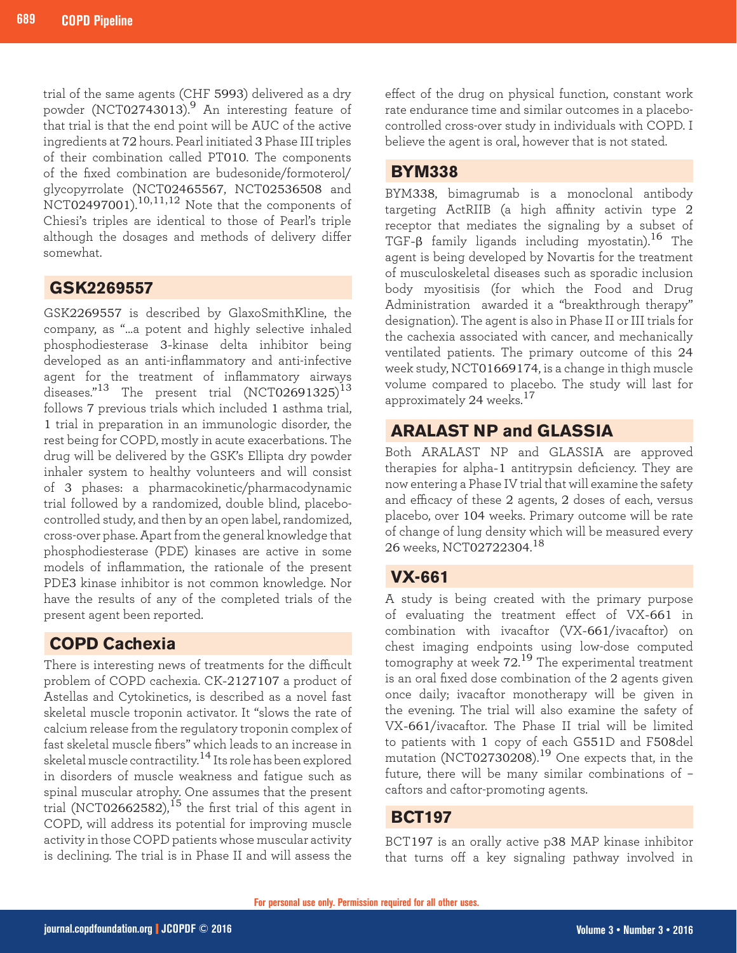trial of the same agents (CHF 5993) delivered as a dry powder (NCT02743013).<sup>9</sup> An interesting feature of that trial is that the end point will be AUC of the active ingredients at 72 hours. Pearl initiated 3 Phase III triples of their combination called PT010. The components of the fixed combination are budesonide/formoterol/ glycopyrrolate (NCT02465567, NCT02536508 and NCT02497001).<sup>10,11,12</sup> Note that the components of Chiesi's triples are identical to those of Pearl's triple although the dosages and methods of delivery differ somewhat.

# **GSK2269557**

GSK2269557 is described by GlaxoSmithKline, the company, as "…a potent and highly selective inhaled phosphodiesterase 3-kinase delta inhibitor being developed as an anti-inflammatory and anti-infective agent for the treatment of inflammatory airways diseases." $^{13}$  The present trial (NCT02691325) $^{13}$ follows 7 previous trials which included 1 asthma trial, 1 trial in preparation in an immunologic disorder, the rest being for COPD, mostly in acute exacerbations. The drug will be delivered by the GSK's Ellipta dry powder inhaler system to healthy volunteers and will consist of 3 phases: a pharmacokinetic/pharmacodynamic trial followed by a randomized, double blind, placebocontrolled study, and then by an open label, randomized, cross-over phase. Apart from the general knowledge that phosphodiesterase (PDE) kinases are active in some models of inflammation, the rationale of the present PDE3 kinase inhibitor is not common knowledge. Nor have the results of any of the completed trials of the present agent been reported.

# **COPD Cachexia**

There is interesting news of treatments for the difficult problem of COPD cachexia. CK-2127107 a product of Astellas and Cytokinetics, is described as a novel fast skeletal muscle troponin activator. It "slows the rate of calcium release from the regulatory troponin complex of fast skeletal muscle fibers" which leads to an increase in skeletal muscle contractility.<sup>14</sup> Its role has been explored in disorders of muscle weakness and fatigue such as spinal muscular atrophy. One assumes that the present trial (NCT02662582),<sup>15</sup> the first trial of this agent in COPD, will address its potential for improving muscle activity in those COPD patients whose muscular activity is declining. The trial is in Phase II and will assess the

effect of the drug on physical function, constant work rate endurance time and similar outcomes in a placebocontrolled cross-over study in individuals with COPD. I believe the agent is oral, however that is not stated.

## **BYM338**

BYM338, bimagrumab is a monoclonal antibody targeting ActRIIB (a high affinity activin type 2 receptor that mediates the signaling by a subset of TGF-β family ligands including myostatin). $^{16}$  The agent is being developed by Novartis for the treatment of musculoskeletal diseases such as sporadic inclusion body myositisis (for which the Food and Drug Administration awarded it a "breakthrough therapy" designation). The agent is also in Phase II or III trials for the cachexia associated with cancer, and mechanically ventilated patients. The primary outcome of this 24 week study, NCT01669174, is a change in thigh muscle volume compared to placebo. The study will last for approximately 24 weeks.<sup>17</sup>

# **ARALAST NP and GLASSIA**

Both ARALAST NP and GLASSIA are approved therapies for alpha-1 antitrypsin deficiency. They are now entering a Phase IV trial that will examine the safety and efficacy of these 2 agents, 2 doses of each, versus placebo, over 104 weeks. Primary outcome will be rate of change of lung density which will be measured every 26 weeks, NCT02722304.<sup>18</sup>

# **VX-661**

A study is being created with the primary purpose of evaluating the treatment effect of VX-661 in combination with ivacaftor (VX-661/ivacaftor) on chest imaging endpoints using low-dose computed tomography at week 72.<sup>19</sup> The experimental treatment is an oral fixed dose combination of the 2 agents given once daily; ivacaftor monotherapy will be given in the evening. The trial will also examine the safety of VX-661/ivacaftor. The Phase II trial will be limited to patients with 1 copy of each G551D and F508del mutation (NCT02730208).<sup>19</sup> One expects that, in the future, there will be many similar combinations of – caftors and caftor-promoting agents.

# **BCT197**

BCT197 is an orally active p38 MAP kinase inhibitor that turns off a key signaling pathway involved in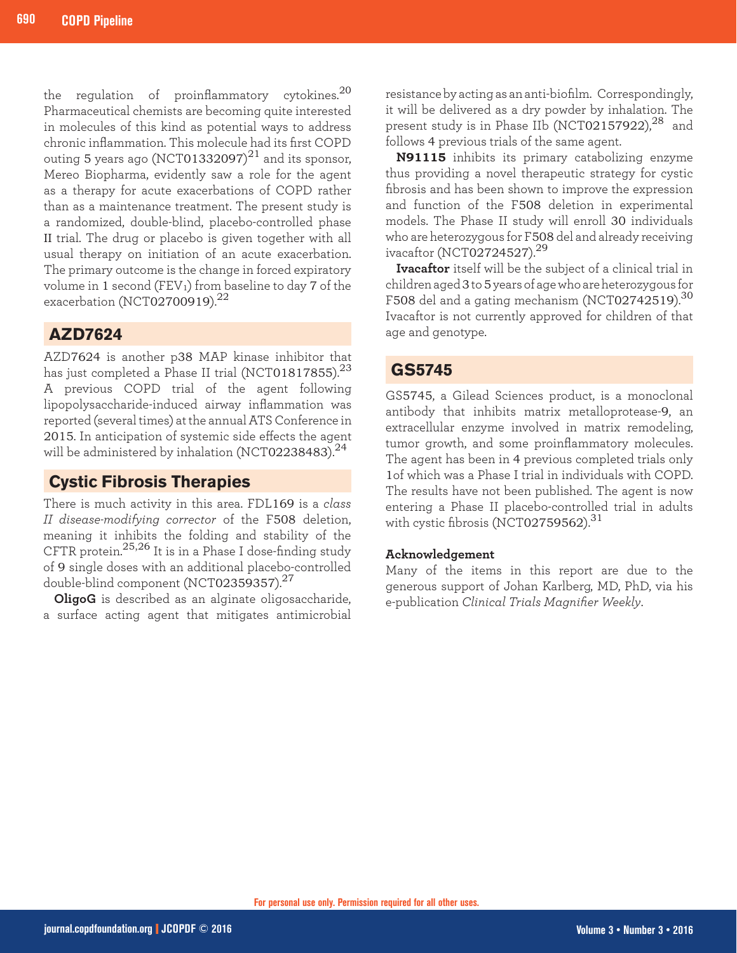the regulation of proinflammatory cytokines.<sup>20</sup> Pharmaceutical chemists are becoming quite interested in molecules of this kind as potential ways to address chronic inflammation. This molecule had its first COPD outing 5 years ago (NCT01332097) $^{21}$  and its sponsor, Mereo Biopharma, evidently saw a role for the agent as a therapy for acute exacerbations of COPD rather than as a maintenance treatment. The present study is a randomized, double-blind, placebo-controlled phase II trial. The drug or placebo is given together with all usual therapy on initiation of an acute exacerbation. The primary outcome is the change in forced expiratory volume in 1 second (FEV1) from baseline to day 7 of the exacerbation (NCT02700919). $^{22}$ 

# **AZD7624**

AZD7624 is another p38 MAP kinase inhibitor that has just completed a Phase II trial (NCT01817855). $^{23}$ A previous COPD trial of the agent following lipopolysaccharide-induced airway inflammation was reported (several times) at the annual ATS Conference in 2015. In anticipation of systemic side effects the agent will be administered by inhalation (NCT02238483). $^{24}$ 

# **Cystic Fibrosis Therapies**

There is much activity in this area. FDL169 is a *class II disease-modifying corrector* of the F508 deletion, meaning it inhibits the folding and stability of the CFTR protein.25,26 It is in a Phase I dose-finding study of 9 single doses with an additional placebo-controlled double-blind component (NCT02359357).<sup>27</sup>

**OligoG** is described as an alginate oligosaccharide, a surface acting agent that mitigates antimicrobial

resistance by acting as an anti-biofilm. Correspondingly, it will be delivered as a dry powder by inhalation. The present study is in Phase IIb (NCT02157922),<sup>28</sup> and follows 4 previous trials of the same agent.

**N91115** inhibits its primary catabolizing enzyme thus providing a novel therapeutic strategy for cystic fibrosis and has been shown to improve the expression and function of the F508 deletion in experimental models. The Phase II study will enroll 30 individuals who are heterozygous for F508 del and already receiving ivacaftor (NCT02724527).<sup>29</sup>

**Ivacaftor** itself will be the subject of a clinical trial in children aged 3 to 5 years of age who are heterozygous for F508 del and a gating mechanism (NCT02742519).<sup>30</sup> Ivacaftor is not currently approved for children of that age and genotype.

# **GS5745**

GS5745, a Gilead Sciences product, is a monoclonal antibody that inhibits matrix metalloprotease-9, an extracellular enzyme involved in matrix remodeling, tumor growth, and some proinflammatory molecules. The agent has been in 4 previous completed trials only 1of which was a Phase I trial in individuals with COPD. The results have not been published. The agent is now entering a Phase II placebo-controlled trial in adults with cystic fibrosis (NCT02759562).<sup>31</sup>

### **Acknowledgement**

Many of the items in this report are due to the generous support of Johan Karlberg, MD, PhD, via his e-publication *Clinical Trials Magnifier Weekly*.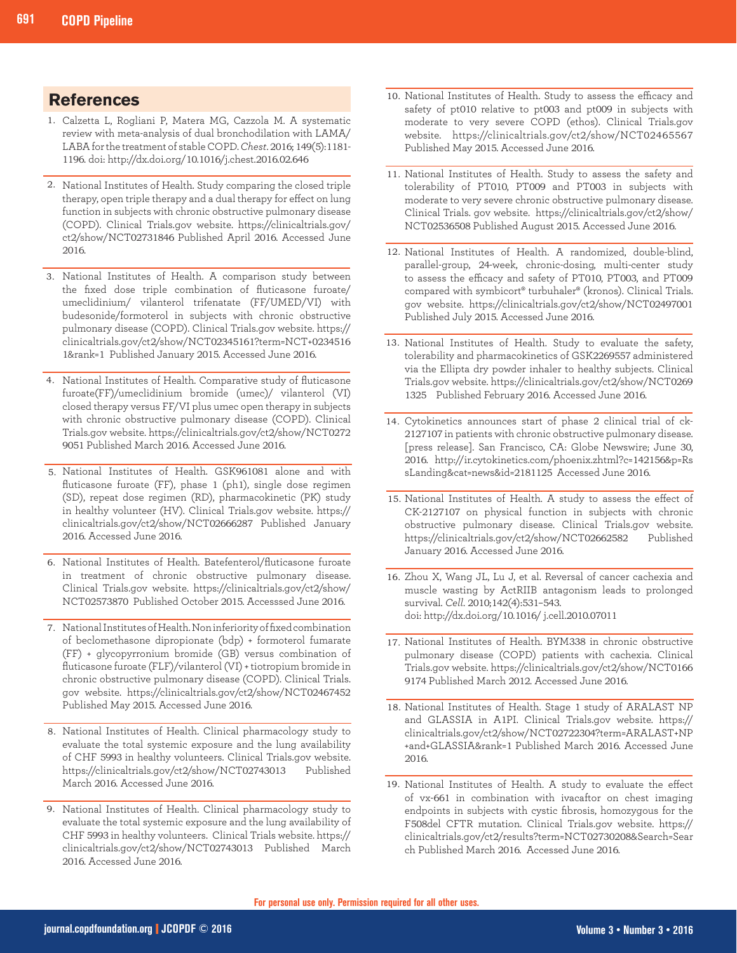## **References**

- Calzetta L, Rogliani P, Matera MG, Cazzola M. A systematic 1. review with meta-analysis of dual bronchodilation with LAMA/ LABA for the treatment of stable COPD. *Chest*. 2016; 149(5):1181- 1196. doi: http://dx.doi.org/10.1016/j.chest.2016.02.646
- National Institutes of Health. Study comparing the closed triple 2. therapy, open triple therapy and a dual therapy for effect on lung function in subjects with chronic obstructive pulmonary disease (COPD). Clinical Trials.gov website. https://clinicaltrials.gov/ ct2/show/NCT02731846 Published April 2016. Accessed June 2016.
- 3. National Institutes of Health. A comparison study between the fixed dose triple combination of fluticasone furoate/ umeclidinium/ vilanterol trifenatate (FF/UMED/VI) with budesonide/formoterol in subjects with chronic obstructive pulmonary disease (COPD). Clinical Trials.gov website. https:// clinicaltrials.gov/ct2/show/NCT02345161?term=NCT+0234516 1&rank=1 Published January 2015. Accessed June 2016.
- National Institutes of Health. Comparative study of fluticasone 4. furoate(FF)/umeclidinium bromide (umec)/ vilanterol (VI) closed therapy versus FF/VI plus umec open therapy in subjects with chronic obstructive pulmonary disease (COPD). Clinical Trials.gov website. https://clinicaltrials.gov/ct2/show/NCT0272 9051 Published March 2016. Accessed June 2016.
- National Institutes of Health. GSK961081 alone and with 5. fluticasone furoate (FF), phase 1 (ph1), single dose regimen (SD), repeat dose regimen (RD), pharmacokinetic (PK) study in healthy volunteer (HV). Clinical Trials.gov website. https:// clinicaltrials.gov/ct2/show/NCT02666287 Published January 2016. Accessed June 2016.
- 6. National Institutes of Health. Batefenterol/fluticasone furoate in treatment of chronic obstructive pulmonary disease. Clinical Trials.gov website. https://clinicaltrials.gov/ct2/show/ NCT02573870 Published October 2015. Accesssed June 2016.
- 7. National Institutes of Health. Non inferiority of fixed combination of beclomethasone dipropionate (bdp) + formoterol fumarate (FF) + glycopyrronium bromide (GB) versus combination of fluticasone furoate (FLF)/vilanterol (VI) + tiotropium bromide in chronic obstructive pulmonary disease (COPD). Clinical Trials. gov website. https://clinicaltrials.gov/ct2/show/NCT02467452 Published May 2015. Accessed June 2016.
- 8. National Institutes of Health. Clinical pharmacology study to evaluate the total systemic exposure and the lung availability of CHF 5993 in healthy volunteers. Clinical Trials.gov website. https://clinicaltrials.gov/ct2/show/NCT02743013 Published March 2016. Accessed June 2016.
- 9. National Institutes of Health. Clinical pharmacology study to evaluate the total systemic exposure and the lung availability of CHF 5993 in healthy volunteers. Clinical Trials website. https:// clinicaltrials.gov/ct2/show/NCT02743013 Published March 2016. Accessed June 2016.
- 10. National Institutes of Health. Study to assess the efficacy and safety of pt010 relative to pt003 and pt009 in subjects with moderate to very severe COPD (ethos). Clinical Trials.gov website. https://clinicaltrials.gov/ct2/show/NCT02465567 Published May 2015. Accessed June 2016.
- 11. National Institutes of Health. Study to assess the safety and tolerability of PT010, PT009 and PT003 in subjects with moderate to very severe chronic obstructive pulmonary disease. Clinical Trials. gov website. https://clinicaltrials.gov/ct2/show/ NCT02536508 Published August 2015. Accessed June 2016.
- 12. National Institutes of Health. A randomized, double-blind, parallel-group, 24-week, chronic-dosing, multi-center study to assess the efficacy and safety of PT010, PT003, and PT009 compared with symbicort® turbuhaler® (kronos). Clinical Trials. gov website. https://clinicaltrials.gov/ct2/show/NCT02497001 Published July 2015. Accessed June 2016.
- 13. National Institutes of Health. Study to evaluate the safety, tolerability and pharmacokinetics of GSK2269557 administered via the Ellipta dry powder inhaler to healthy subjects. Clinical Trials.gov website. https://clinicaltrials.gov/ct2/show/NCT0269 1325 Published February 2016. Accessed June 2016.
- 14. Cytokinetics announces start of phase 2 clinical trial of ck-2127107 in patients with chronic obstructive pulmonary disease. [press release]. San Francisco, CA: Globe Newswire; June 30, 2016. http://ir.cytokinetics.com/phoenix.zhtml?c=142156&p=Rs sLanding&cat=news&id=2181125 Accessed June 2016.
- 15. National Institutes of Health. A study to assess the effect of CK-2127107 on physical function in subjects with chronic obstructive pulmonary disease. Clinical Trials.gov website. https://clinicaltrials.gov/ct2/show/NCT02662582 Published January 2016. Accessed June 2016.
- 16. Zhou X, Wang JL, Lu J, et al. Reversal of cancer cachexia and muscle wasting by ActRIIB antagonism leads to prolonged survival. *Cell*. 2010;142(4):531–543. doi: http://dx.doi.org/10.1016/ j.cell.2010.07011
- 17. National Institutes of Health. BYM338 in chronic obstructive pulmonary disease (COPD) patients with cachexia. Clinical Trials.gov website. https://clinicaltrials.gov/ct2/show/NCT0166 9174 Published March 2012. Accessed June 2016.
- 18. National Institutes of Health. Stage 1 study of ARALAST NP and GLASSIA in A1PI. Clinical Trials.gov website. https:// clinicaltrials.gov/ct2/show/NCT02722304?term=ARALAST+NP +and+GLASSIA&rank=1 Published March 2016. Accessed June 2016.
- 19. National Institutes of Health. A study to evaluate the effect of vx-661 in combination with ivacaftor on chest imaging endpoints in subjects with cystic fibrosis, homozygous for the F508del CFTR mutation. Clinical Trials.gov website. https:// clinicaltrials.gov/ct2/results?term=NCT02730208&Search=Sear ch Published March 2016. Accessed June 2016.